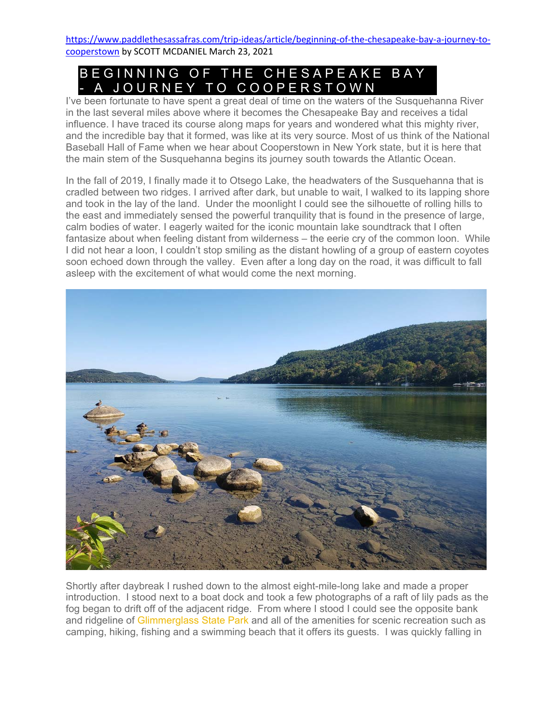https://www.paddlethesassafras.com/trip-ideas/article/beginning-of-the-chesapeake-bay-a-journey-tocooperstown by SCOTT MCDANIEL March 23, 2021

## BEGINNING OF THE CHESAPEAKE BAY - A JOURNEY TO COOPERSTOWN

I've been fortunate to have spent a great deal of time on the waters of the Susquehanna River in the last several miles above where it becomes the Chesapeake Bay and receives a tidal influence. I have traced its course along maps for years and wondered what this mighty river, and the incredible bay that it formed, was like at its very source. Most of us think of the National Baseball Hall of Fame when we hear about Cooperstown in New York state, but it is here that the main stem of the Susquehanna begins its journey south towards the Atlantic Ocean.

In the fall of 2019, I finally made it to Otsego Lake, the headwaters of the Susquehanna that is cradled between two ridges. I arrived after dark, but unable to wait, I walked to its lapping shore and took in the lay of the land. Under the moonlight I could see the silhouette of rolling hills to the east and immediately sensed the powerful tranquility that is found in the presence of large, calm bodies of water. I eagerly waited for the iconic mountain lake soundtrack that I often fantasize about when feeling distant from wilderness – the eerie cry of the common loon. While I did not hear a loon, I couldn't stop smiling as the distant howling of a group of eastern coyotes soon echoed down through the valley. Even after a long day on the road, it was difficult to fall asleep with the excitement of what would come the next morning.



Shortly after daybreak I rushed down to the almost eight-mile-long lake and made a proper introduction. I stood next to a boat dock and took a few photographs of a raft of lily pads as the fog began to drift off of the adjacent ridge. From where I stood I could see the opposite bank and ridgeline of Glimmerglass State Park and all of the amenities for scenic recreation such as camping, hiking, fishing and a swimming beach that it offers its guests. I was quickly falling in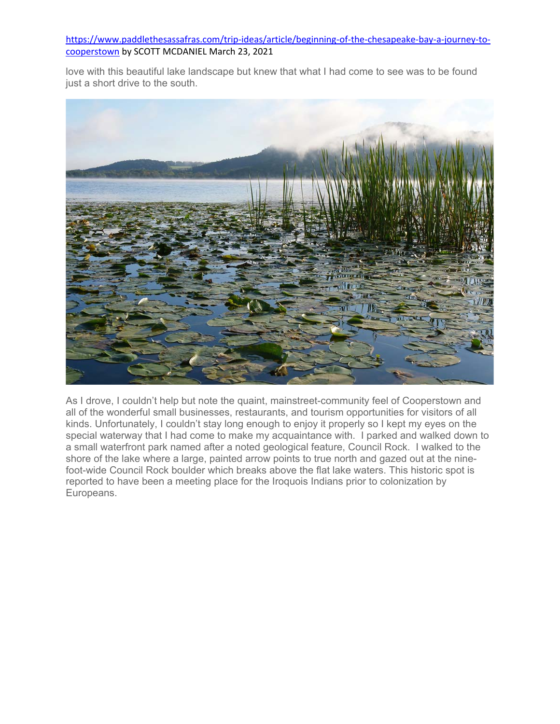## https://www.paddlethesassafras.com/trip-ideas/article/beginning-of-the-chesapeake-bay-a-journey-tocooperstown by SCOTT MCDANIEL March 23, 2021

love with this beautiful lake landscape but knew that what I had come to see was to be found just a short drive to the south.



As I drove, I couldn't help but note the quaint, mainstreet-community feel of Cooperstown and all of the wonderful small businesses, restaurants, and tourism opportunities for visitors of all kinds. Unfortunately, I couldn't stay long enough to enjoy it properly so I kept my eyes on the special waterway that I had come to make my acquaintance with. I parked and walked down to a small waterfront park named after a noted geological feature, Council Rock. I walked to the shore of the lake where a large, painted arrow points to true north and gazed out at the ninefoot-wide Council Rock boulder which breaks above the flat lake waters. This historic spot is reported to have been a meeting place for the Iroquois Indians prior to colonization by Europeans.